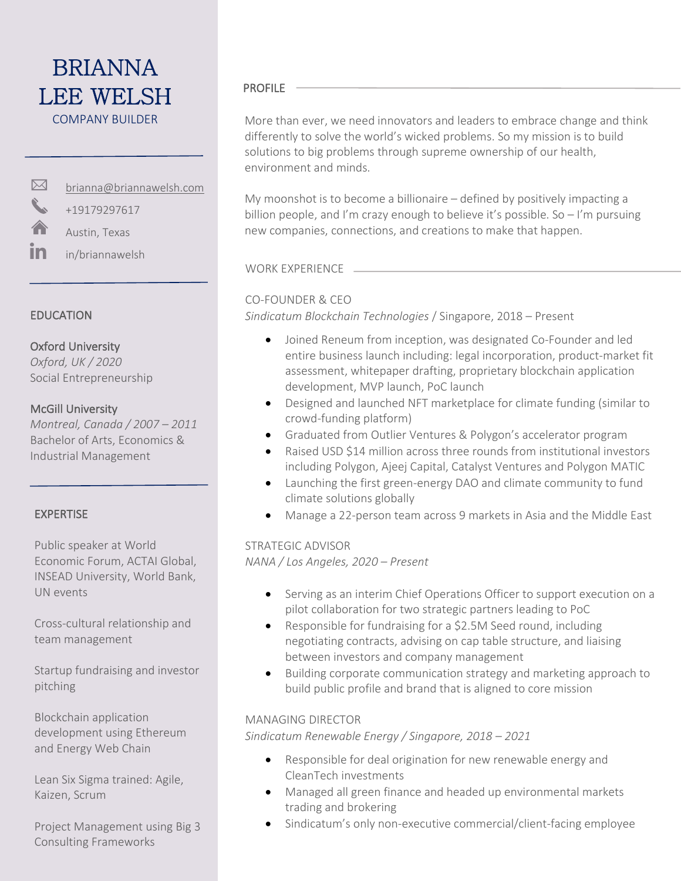## VITTI CIT PROFILE LEE WELSH BRIANNA COMPANY BUILDER

brianna@briannawelsh.com

+19179297617

 $\overline{a}$ 

Austin, Texas

in in/briannawelsh

#### EDUCATION

 $\boxtimes$ 

#### Oxford University

 *Oxford, UK / 2020* Social Entrepreneurship

#### McGill University

*Montreal, Canada / 2007 – 2011*  Bachelor of Arts, Economics & Industrial Management

### EXPERTISE

Public speaker at World Economic Forum, ACTAI Global, INSEAD University, World Bank, UN events

Cross-cultural relationship and team management

Startup fundraising and investor pitching

Blockchain application development using Ethereum and Energy Web Chain

Lean Six Sigma trained: Agile, Kaizen, Scrum

Project Management using Big 3 Consulting Frameworks

 differently to solve the world's wicked problems. So my mission is to build More than ever, we need innovators and leaders to embrace change and think solutions to big problems through supreme ownership of our health, environment and minds.

My moonshot is to become a billionaire – defined by positively impacting a billion people, and I'm crazy enough to believe it's possible. So - I'm pursuing new companies, connections, and creations to make that happen.

WORK EXPERIENCE

#### CO-FOUNDER & CEO

*Sindicatum Blockchain Technologies* / Singapore, 2018 – Present

- Joined Reneum from inception, was designated Co-Founder and led entire business launch including: legal incorporation, product-market fit assessment, whitepaper drafting, proprietary blockchain application development, MVP launch, PoC launch
- Designed and launched NFT marketplace for climate funding (similar to crowd-funding platform)
- Graduated from Outlier Ventures & Polygon's accelerator program
- Raised USD \$14 million across three rounds from institutional investors including Polygon, Ajeej Capital, Catalyst Ventures and Polygon MATIC
- Launching the first green-energy DAO and climate community to fund climate solutions globally
- Manage a 22-person team across 9 markets in Asia and the Middle East

#### STRATEGIC ADVISOR

*NANA / Los Angeles, 2020 – Present* 

- Serving as an interim Chief Operations Officer to support execution on a pilot collaboration for two strategic partners leading to PoC
- Responsible for fundraising for a \$2.5M Seed round, including negotiating contracts, advising on cap table structure, and liaising between investors and company management
- Building corporate communication strategy and marketing approach to build public profile and brand that is aligned to core mission

#### MANAGING DIRECTOR

*Sindicatum Renewable Energy / Singapore, 2018 – 2021*

- Responsible for deal origination for new renewable energy and CleanTech investments
- Managed all green finance and headed up environmental markets trading and brokering
- Sindicatum's only non-executive commercial/client-facing employee